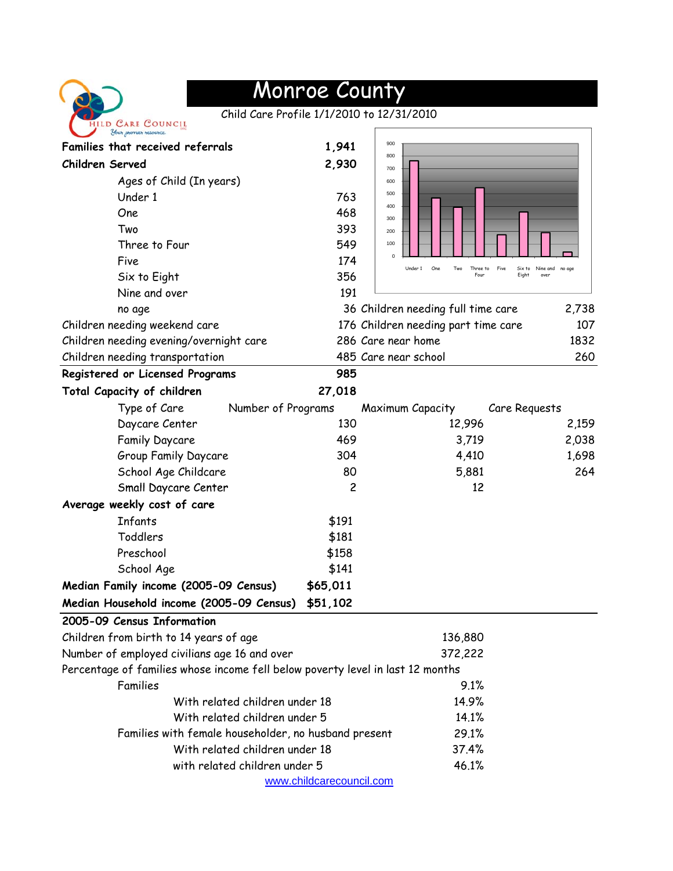| HILD CARE COUNCIL<br>Your premier resource |
|--------------------------------------------|

## Monroe County

Child Care Profile 1/1/2010 to 12/31/2010

| Your premier resource                                                          |                          |                                                  |                                   |  |
|--------------------------------------------------------------------------------|--------------------------|--------------------------------------------------|-----------------------------------|--|
| Families that received referrals                                               | 1,941                    | 900                                              |                                   |  |
| <b>Children Served</b>                                                         | 2,930                    | 800<br>700                                       |                                   |  |
| Ages of Child (In years)                                                       |                          | 600                                              |                                   |  |
| Under 1                                                                        | 763                      | 500                                              |                                   |  |
| One                                                                            | 468                      | 400<br>300                                       |                                   |  |
| Two                                                                            | 393                      | 200                                              |                                   |  |
| Three to Four                                                                  | 549                      | 100                                              |                                   |  |
| Five                                                                           | 174                      | $\mathbf 0$<br>Under 1<br>One<br>Two<br>Three to | Five<br>Nine and no goe<br>Six to |  |
| Six to Eight                                                                   | 356                      | Four                                             | Eight<br>over                     |  |
| Nine and over                                                                  | 191                      |                                                  |                                   |  |
| no age                                                                         |                          | 36 Children needing full time care               | 2,738                             |  |
| Children needing weekend care                                                  |                          | 176 Children needing part time care              | 107                               |  |
| Children needing evening/overnight care                                        |                          | 286 Care near home                               | 1832                              |  |
| Children needing transportation                                                |                          | 485 Care near school                             | 260                               |  |
| Registered or Licensed Programs                                                | 985                      |                                                  |                                   |  |
| Total Capacity of children                                                     | 27,018                   |                                                  |                                   |  |
| Type of Care                                                                   | Number of Programs       | Maximum Capacity                                 | Care Requests                     |  |
| Daycare Center                                                                 | 130                      | 12,996                                           | 2,159                             |  |
| Family Daycare                                                                 | 469                      | 3,719                                            | 2,038                             |  |
| Group Family Daycare                                                           | 304                      | 4,410                                            | 1,698                             |  |
| School Age Childcare                                                           | 80                       | 5,881                                            | 264                               |  |
| Small Daycare Center                                                           | $\overline{c}$           | 12                                               |                                   |  |
| Average weekly cost of care                                                    |                          |                                                  |                                   |  |
| Infants                                                                        | \$191                    |                                                  |                                   |  |
| <b>Toddlers</b>                                                                | \$181                    |                                                  |                                   |  |
| Preschool                                                                      | \$158                    |                                                  |                                   |  |
| School Age                                                                     | \$141                    |                                                  |                                   |  |
| Median Family income (2005-09 Census)                                          | \$65,011                 |                                                  |                                   |  |
| Median Household income (2005-09 Census)                                       | \$51,102                 |                                                  |                                   |  |
| 2005-09 Census Information                                                     |                          |                                                  |                                   |  |
| Children from birth to 14 years of age                                         |                          | 136,880                                          |                                   |  |
| Number of employed civilians age 16 and over                                   |                          | 372,222                                          |                                   |  |
| Percentage of families whose income fell below poverty level in last 12 months |                          |                                                  |                                   |  |
| Families                                                                       |                          | 9.1%                                             |                                   |  |
| With related children under 18                                                 |                          | 14.9%                                            |                                   |  |
| With related children under 5                                                  |                          | 14.1%                                            |                                   |  |
| Families with female householder, no husband present                           |                          | 29.1%                                            |                                   |  |
| With related children under 18                                                 |                          | 37.4%                                            |                                   |  |
| with related children under 5                                                  |                          | 46.1%                                            |                                   |  |
|                                                                                | www.childcarecouncil.com |                                                  |                                   |  |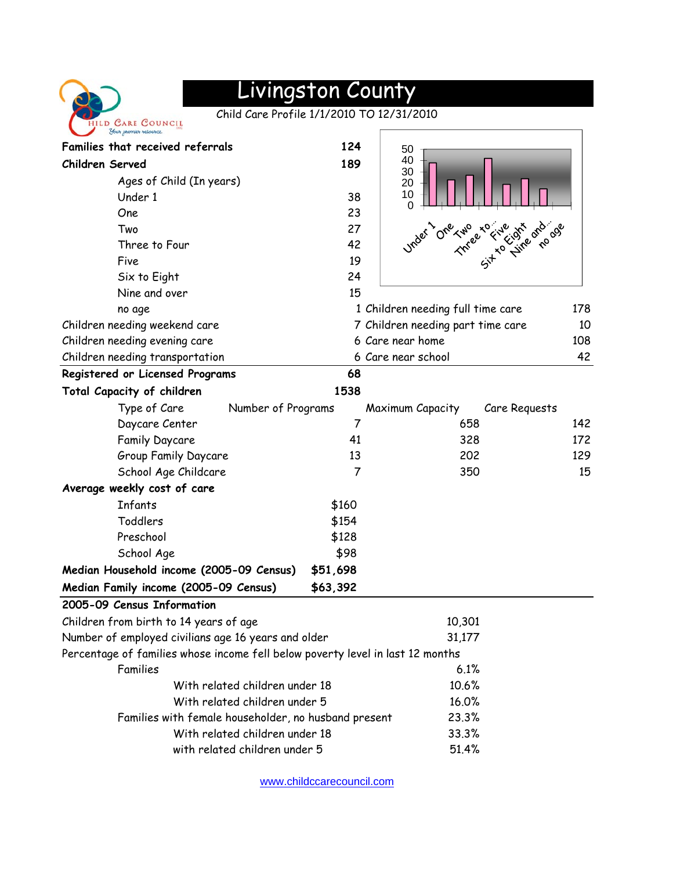

## Livingston County

Child Care Profile 1/1/2010 TO 12/31/2010

| Families that received referrals                                               | 124            | 50                                |     |
|--------------------------------------------------------------------------------|----------------|-----------------------------------|-----|
| Children Served                                                                | 189            | 40<br>30                          |     |
| Ages of Child (In years)                                                       |                | 20                                |     |
| Under 1                                                                        | 38             | 10                                |     |
| One                                                                            | 23             | 0                                 |     |
| Two                                                                            | 27             | $O_{\text{V}_\text{f}}$           |     |
| Three to Four                                                                  | 42             | The are the decay                 |     |
| Five                                                                           | 19             |                                   |     |
| Six to Eight                                                                   | 24             |                                   |     |
| Nine and over                                                                  | 15             |                                   |     |
| no age                                                                         |                | 1 Children needing full time care | 178 |
| Children needing weekend care                                                  |                | 7 Children needing part time care | 10  |
| Children needing evening care                                                  |                | 6 Care near home                  | 108 |
| Children needing transportation                                                |                | 6 Care near school                | 42  |
| Registered or Licensed Programs                                                | 68             |                                   |     |
| Total Capacity of children                                                     | 1538           |                                   |     |
| Type of Care<br>Number of Programs                                             |                | Maximum Capacity<br>Care Requests |     |
| Daycare Center                                                                 | $\overline{7}$ | 658                               | 142 |
| Family Daycare                                                                 | 41             | 328                               | 172 |
| Group Family Daycare                                                           | 13             | 202                               | 129 |
| School Age Childcare                                                           | $\overline{7}$ | 350                               | 15  |
| Average weekly cost of care                                                    |                |                                   |     |
| Infants                                                                        | \$160          |                                   |     |
| Toddlers                                                                       | \$154          |                                   |     |
| Preschool                                                                      | \$128          |                                   |     |
| School Age                                                                     | \$98           |                                   |     |
| Median Household income (2005-09 Census)                                       | \$51,698       |                                   |     |
| Median Family income (2005-09 Census)                                          | \$63,392       |                                   |     |
| 2005-09 Census Information                                                     |                |                                   |     |
| Children from birth to 14 years of age                                         |                | 10,301                            |     |
| Number of employed civilians age 16 years and older                            |                | 31,177                            |     |
| Percentage of families whose income fell below poverty level in last 12 months |                |                                   |     |
| Families                                                                       |                | 6.1%                              |     |
| With related children under 18                                                 |                | 10.6%                             |     |
| With related children under 5                                                  | 16.0%          |                                   |     |
| Families with female householder, no husband present                           |                | 23.3%                             |     |
| With related children under 18                                                 | 33.3%          |                                   |     |
| with related children under 5                                                  |                | 51.4%                             |     |
|                                                                                |                |                                   |     |

[www.childccarecouncil.com](http://www.childccarecouncil.com/)